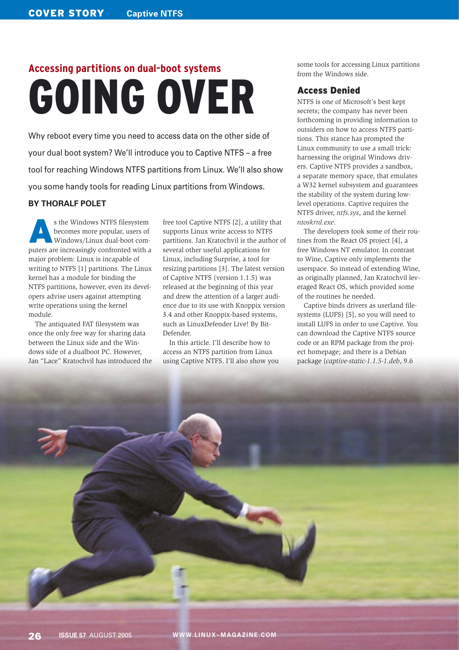# **Accessing partitions on dual-boot systems** GOING OVER

Why reboot every time you need to access data on the other side of your dual boot system? We'll introduce you to Captive NTFS – a free tool for reaching Windows NTFS partitions from Linux. We'll also show you some handy tools for reading Linux partitions from Windows.

#### **BY THORALF POLET**

s the Windows NTFS filesystem<br>
becomes more popular, users of<br>
Windows/Linux dual-boot combecomes more popular, users of puters are increasingly confronted with a major problem: Linux is incapable of writing to NTFS [1] partitions. The Linux kernel has a module for binding the NTFS partitions, however, even its developers advise users against attempting write operations using the kernel module.

The antiquated FAT filesystem was once the only free way for sharing data between the Linux side and the Windows side of a dualboot PC. However, Jan "Lace" Kratochvil has introduced the

free tool Captive NTFS [2], a utility that supports Linux write access to NTFS partitions. Jan Kratochvil is the author of several other useful applications for Linux, including Surprise, a tool for resizing partitions [3]. The latest version of Captive NTFS (version 1.1.5) was released at the beginning of this year and drew the attention of a larger audience due to its use with Knoppix version 3.4 and other Knoppix-based systems, such as LinuxDefender Live! By Bit-Defender.

In this article. I'll describe how to access an NTFS partition from Linux using Captive NTFS. I'll also show you some tools for accessing Linux partitions from the Windows side.

# Access Denied

NTFS is one of Microsoft's best kept secrets; the company has never been forthcoming in providing information to outsiders on how to access NTFS partitions. This stance has prompted the Linux community to use a small trick: harnessing the original Windows drivers. Captive NTFS provides a sandbox, a separate memory space, that emulates a W32 kernel subsystem and guarantees the stability of the system during lowlevel operations. Captive requires the NTFS driver, *ntfs.sys*, and the kernel *ntoskrnl.exe*.

The developers took some of their routines from the React OS project [4], a free Windows NT emulator. In contrast to Wine, Captive only implements the userspace. So instead of extending Wine, as originally planned, Jan Kratochvil leveraged React OS, which provided some of the routines he needed.

Captive binds drivers as userland filesystems (LUFS) [5], so you will need to install LUFS in order to use Captive. You can download the Captive NTFS source code or an RPM package from the project homepage; and there is a Debian package (*captive-static-1.1.5-1.deb*, 9.6

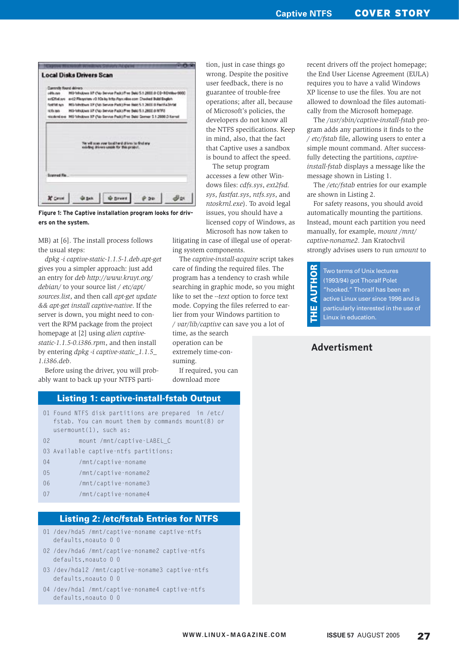| <b>Darmstin Found delivers</b>                                                                                                                                   |                                                                                          |  |  |  |  |  |  |  |  |
|------------------------------------------------------------------------------------------------------------------------------------------------------------------|------------------------------------------------------------------------------------------|--|--|--|--|--|--|--|--|
| adds.ove                                                                                                                                                         | MS-Writions 37 (No Service Pack) Pres Balci 5.1 2600.0 CD-ROWBu-9800                     |  |  |  |  |  |  |  |  |
|                                                                                                                                                                  | sin Ciffed pay and 2 File pythons vil 1 Os by http://pyo.villoo.com Chaeled Build Bagloh |  |  |  |  |  |  |  |  |
| MS/MyBus IF (N) Tervor Park) Free Bale 5.1 2600 B FantFa'3V98<br><b>Seatted more</b>                                                                             |                                                                                          |  |  |  |  |  |  |  |  |
| MS-Virtables IIF (No Service Fack) free Balci 5.1.2600.0 NTF3<br><b>NETS He's</b><br>tizdeni pe MS Vihdoes IIP (No Servos Patk) Fret Baki Semar S I 2008 O Kenel |                                                                                          |  |  |  |  |  |  |  |  |
|                                                                                                                                                                  |                                                                                          |  |  |  |  |  |  |  |  |
|                                                                                                                                                                  | t will scan your local ford divro to find any.<br>Infing drivers usede for this project. |  |  |  |  |  |  |  |  |

**Figure 1: The Captive installation program looks for drivers on the system.**

MB) at [6]. The install process follows the usual steps:

*dpkg -i captive-static-1.1.5-1.deb*.*apt-get* gives you a simpler approach: just add an entry for *deb http://www.kruyt.org/ debian/* to your source list */ etc/apt/ sources.list*, and then call *apt-get update && apt-get install captive-native*. If the server is down, you might need to convert the RPM package from the project homepage at [2] using *alien captivestatic-1.1.5-0.i386.rpm*, and then install by entering *dpkg -i captive-static\_1.1.5\_ 1.i386.deb*.

Before using the driver, you will probably want to back up your NTFS parti-

#### Listing 1: captive-install-fstab Output

- 01 Found NTFS disk partitions are prepared in /etc/ fstab. You can mount them by commands mount(8) or usermount(1), such as:
- 02 mount /mnt/captive-LABEL C
- 03 Available captive-ntfs partitions:
- 04 /mnt/captive-noname
- 05 /mnt/captive-noname2
- 06 /mnt/captive-noname3
- 07 /mnt/captive-noname4

## **Listing 2: /etc/fstab Entries for NTFS**

- 01 /dev/hda5 /mnt/captive-noname captive-ntfs defaults, noauto 0 0
- 02 /dev/hda6 /mnt/captive-noname2 captive-ntfs defaults, noauto 0 0
- 03 /dev/hda12 /mnt/captive-noname3 captive-ntfs defaults, noauto 0 0
- 04 /dev/hda1 /mnt/captive-noname4 captive-ntfs defaults,noauto 0 0

tion, just in case things go wrong. Despite the positive user feedback, there is no guarantee of trouble-free operations; after all, because of Microsoft's policies, the developers do not know all the NTFS specifications. Keep in mind, also, that the fact that Captive uses a sandbox is bound to affect the speed.

The setup program accesses a few other Windows files: *cdfs.sys*, *ext2fsd. sys*, *fastfat.sys*, *ntfs.sys*, and *ntoskrnl.exe*). To avoid legal issues, you should have a licensed copy of Windows, as Microsoft has now taken to

litigating in case of illegal use of operating system components.

The *captive-install-acquire* script takes care of finding the required files. The program has a tendency to crash while searching in graphic mode, so you might like to set the *--text* option to force text mode. Copying the files referred to earlier from your Windows partition to */ var/lib/captive* can save you a lot of

time, as the search operation can be extremely time-consuming.

If required, you can download more

recent drivers off the project homepage; the End User License Agreement (EULA) requires you to have a valid Windows XP license to use the files. You are not allowed to download the files automatically from the Microsoft homepage.

The */usr/sbin/captive-install-fstab* program adds any partitions it finds to the */ etc/fstab* file, allowing users to enter a simple mount command. After successfully detecting the partitions, *captiveinstall-fstab* displays a message like the message shown in Listing 1.

The */etc/fstab* entries for our example are shown in Listing 2.

For safety reasons, you should avoid automatically mounting the partitions. Instead, mount each partition you need manually, for example, *mount /mnt/ captive-noname2*. Jan Kratochvil strongly advises users to run *umount* to

**AUTHOR** THE AUTHOR Two terms of Unix lectures (1993/94) got Thoralf Polet "hooked." Thoralf has been an active Linux user since 1996 and is ш particularly interested in the use of Linux in education.

# **Advertisment**